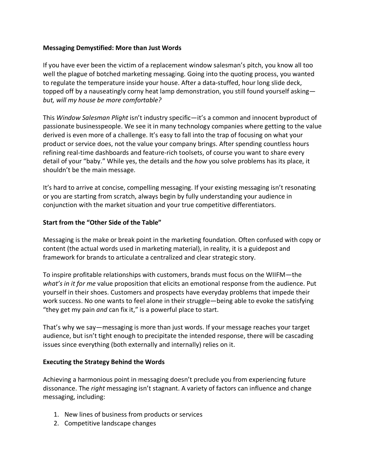### **Messaging Demystified: More than Just Words**

If you have ever been the victim of a replacement window salesman's pitch, you know all too well the plague of botched marketing messaging. Going into the quoting process, you wanted to regulate the temperature inside your house. After a data-stuffed, hour long slide deck, topped off by a nauseatingly corny heat lamp demonstration, you still found yourself asking *but, will my house be more comfortable?*

This *Window Salesman Plight* isn't industry specific—it's a common and innocent byproduct of passionate businesspeople. We see it in many technology companies where getting to the value derived is even more of a challenge. It's easy to fall into the trap of focusing on what your product or service does, not the value your company brings. After spending countless hours refining real-time dashboards and feature-rich toolsets, of course you want to share every detail of your "baby." While yes, the details and the *how* you solve problems has its place, it shouldn't be the main message.

It's hard to arrive at concise, compelling messaging. If your existing messaging isn't resonating or you are starting from scratch, always begin by fully understanding your audience in conjunction with the market situation and your true competitive differentiators.

### **Start from the "Other Side of the Table"**

Messaging is the make or break point in the marketing foundation. Often confused with copy or content (the actual words used in marketing material), in reality, it is a guidepost and framework for brands to articulate a centralized and clear strategic story.

To inspire profitable relationships with customers, brands must focus on the WIIFM—the *what's in it for me* value proposition that elicits an emotional response from the audience. Put yourself in their shoes. Customers and prospects have everyday problems that impede their work success. No one wants to feel alone in their struggle—being able to evoke the satisfying "they get my pain *and* can fix it," is a powerful place to start.

That's why we say—messaging is more than just words. If your message reaches your target audience, but isn't tight enough to precipitate the intended response, there will be cascading issues since everything (both externally and internally) relies on it.

#### **Executing the Strategy Behind the Words**

Achieving a harmonious point in messaging doesn't preclude you from experiencing future dissonance. The *right* messaging isn't stagnant. A variety of factors can influence and change messaging, including:

- 1. New lines of business from products or services
- 2. Competitive landscape changes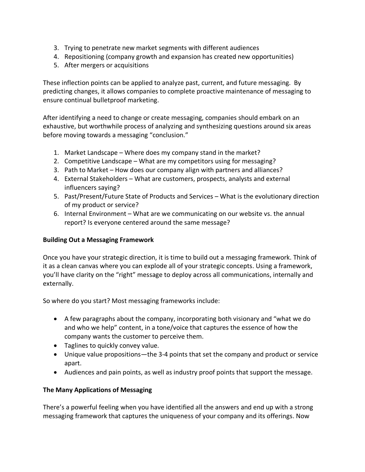- 3. Trying to penetrate new market segments with different audiences
- 4. Repositioning (company growth and expansion has created new opportunities)
- 5. After mergers or acquisitions

These inflection points can be applied to analyze past, current, and future messaging. By predicting changes, it allows companies to complete proactive maintenance of messaging to ensure continual bulletproof marketing.

After identifying a need to change or create messaging, companies should embark on an exhaustive, but worthwhile process of analyzing and synthesizing questions around six areas before moving towards a messaging "conclusion."

- 1. Market Landscape Where does my company stand in the market?
- 2. Competitive Landscape What are my competitors using for messaging?
- 3. Path to Market How does our company align with partners and alliances?
- 4. External Stakeholders What are customers, prospects, analysts and external influencers saying?
- 5. Past/Present/Future State of Products and Services What is the evolutionary direction of my product or service?
- 6. Internal Environment What are we communicating on our website vs. the annual report? Is everyone centered around the same message?

# **Building Out a Messaging Framework**

Once you have your strategic direction, it is time to build out a messaging framework. Think of it as a clean canvas where you can explode all of your strategic concepts. Using a framework, you'll have clarity on the "right" message to deploy across all communications, internally and externally.

So where do you start? Most messaging frameworks include:

- A few paragraphs about the company, incorporating both visionary and "what we do and who we help" content, in a tone/voice that captures the essence of how the company wants the customer to perceive them.
- Taglines to quickly convey value.
- Unique value propositions—the 3-4 points that set the company and product or service apart.
- Audiences and pain points, as well as industry proof points that support the message.

# **The Many Applications of Messaging**

There's a powerful feeling when you have identified all the answers and end up with a strong messaging framework that captures the uniqueness of your company and its offerings. Now